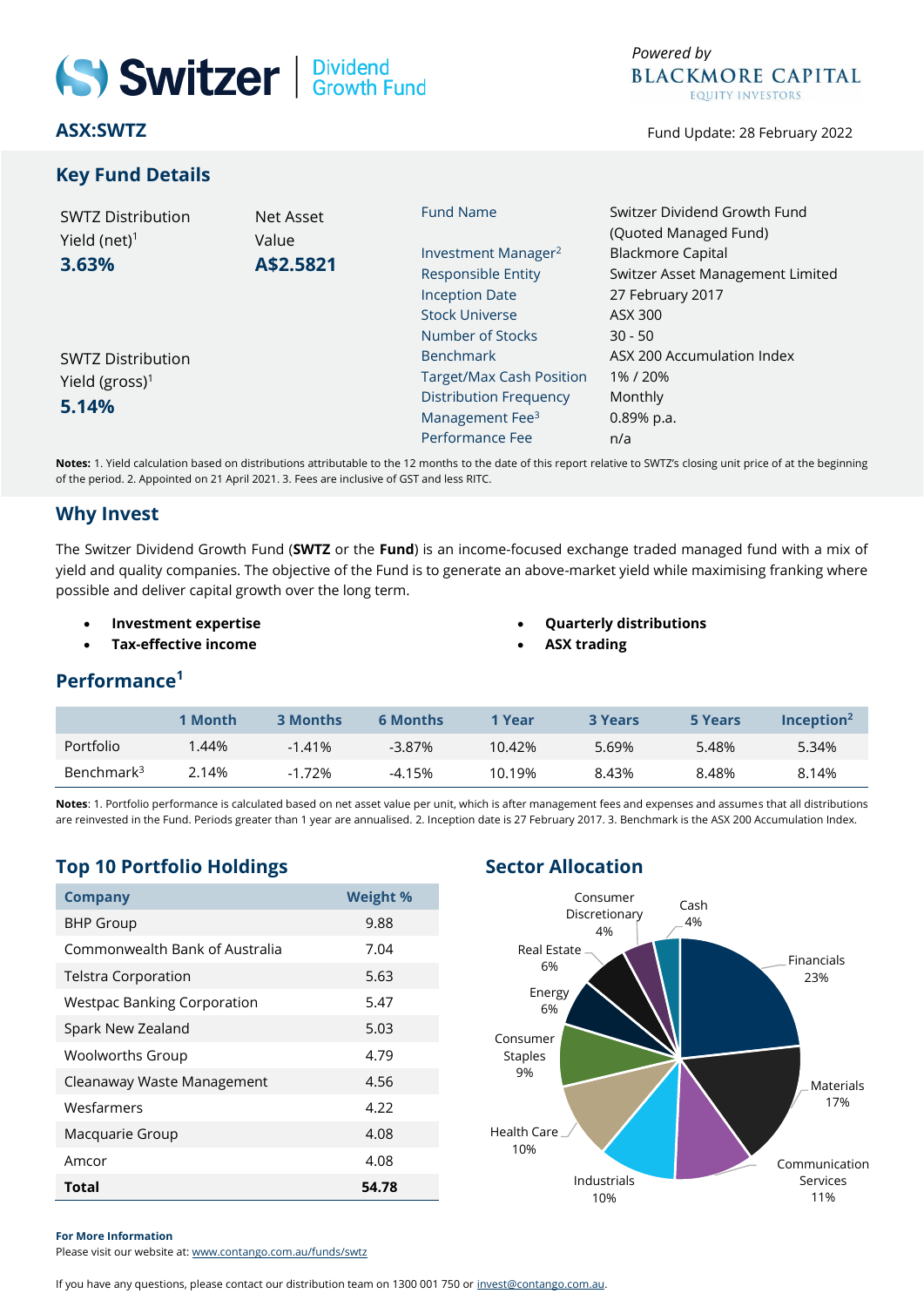# Switzer | Dividend

**ASX:SWTZ**

#### **Key Fund Details**

Fund Update: 28 February 2022

| <b>SWTZ Distribution</b><br>Yield (net) $1$<br>3.63% | Net Asset<br>Value<br>A\$2.5821 | <b>Fund Name</b>                | Switzer Dividend Growth Fund<br>(Quoted Managed Fund)<br><b>Blackmore Capital</b><br>Switzer Asset Management Limited |  |  |
|------------------------------------------------------|---------------------------------|---------------------------------|-----------------------------------------------------------------------------------------------------------------------|--|--|
|                                                      |                                 |                                 |                                                                                                                       |  |  |
|                                                      |                                 | Investment Manager <sup>2</sup> |                                                                                                                       |  |  |
|                                                      |                                 | <b>Responsible Entity</b>       |                                                                                                                       |  |  |
|                                                      |                                 | <b>Inception Date</b>           | 27 February 2017                                                                                                      |  |  |
|                                                      |                                 | <b>Stock Universe</b>           | ASX 300                                                                                                               |  |  |
|                                                      |                                 | Number of Stocks                | $30 - 50$                                                                                                             |  |  |
| <b>SWTZ Distribution</b>                             |                                 | <b>Benchmark</b>                | ASX 200 Accumulation Index                                                                                            |  |  |
| Yield (gross) <sup>1</sup>                           |                                 | <b>Target/Max Cash Position</b> | 1%/20%                                                                                                                |  |  |
| 5.14%                                                |                                 | <b>Distribution Frequency</b>   | Monthly                                                                                                               |  |  |
|                                                      |                                 | Management Fee <sup>3</sup>     | 0.89% p.a.                                                                                                            |  |  |
|                                                      |                                 | Performance Fee                 | n/a                                                                                                                   |  |  |
|                                                      |                                 |                                 |                                                                                                                       |  |  |

**Notes:** 1. Yield calculation based on distributions attributable to the 12 months to the date of this report relative to SWTZ's closing unit price of at the beginning of the period. 2. Appointed on 21 April 2021. 3. Fees are inclusive of GST and less RITC.

#### **Why Invest**

The Switzer Dividend Growth Fund (**SWTZ** or the **Fund**) is an income-focused exchange traded managed fund with a mix of yield and quality companies. The objective of the Fund is to generate an above-market yield while maximising franking where possible and deliver capital growth over the long term.

- **Investment expertise**
- **Tax-effective income**
- **Quarterly distributions**
	- **ASX trading**

#### **Performance<sup>1</sup>**

|                        | 1 Month | <b>3 Months</b> | <b>6 Months</b> | 1 Year | <b>3 Years</b> | 5 Years | $Inc$ eption <sup>2</sup> |
|------------------------|---------|-----------------|-----------------|--------|----------------|---------|---------------------------|
| Portfolio              | .44%    | $-141%$         | $-3.87\%$       | 10.42% | 5.69%          | 5.48%   | 5.34%                     |
| Benchmark <sup>3</sup> | 2.14%   | $-1.72%$        | -4.15%          | 10.19% | 8.43%          | 8.48%   | 8.14%                     |

**Notes**: 1. Portfolio performance is calculated based on net asset value per unit, which is after management fees and expenses and assumes that all distributions are reinvested in the Fund. Periods greater than 1 year are annualised. 2. Inception date is 27 February 2017. 3. Benchmark is the ASX 200 Accumulation Index.

## **Top 10 Portfolio Holdings Sector Allocation**

| <b>Company</b>                     | <b>Weight %</b> |
|------------------------------------|-----------------|
| <b>BHP Group</b>                   | 9.88            |
| Commonwealth Bank of Australia     | 7.04            |
| <b>Telstra Corporation</b>         | 5.63            |
| <b>Westpac Banking Corporation</b> | 5.47            |
| Spark New Zealand                  | 5.03            |
| <b>Woolworths Group</b>            | 4.79            |
| Cleanaway Waste Management         | 4.56            |
| Wesfarmers                         | 4.22            |
| Macquarie Group                    | 4.08            |
| Amcor                              | 4.08            |
| Total                              | 54.78           |



#### **For More Information**

Please visit our website at: [www.contango.com.au/funds/swtz](http://www.contango.com.au/funds/swtz)

If you have any questions, please contact our distribution team on 1300 001 750 o[r invest@contango.com.au.](mailto:invest@contango.com.au)